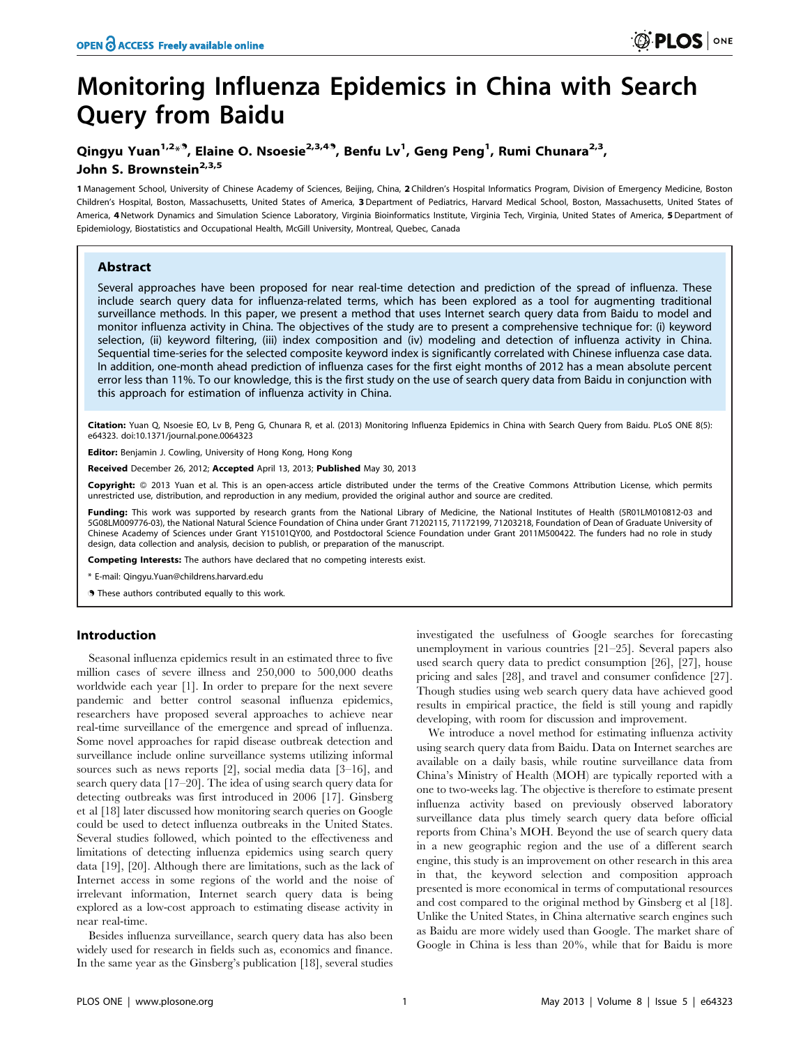# Monitoring Influenza Epidemics in China with Search **Query from Baidu**

# Qingyu Yuan<sup>1,2\*</sup>, Elaine O. Nsoesie<sup>2,3,49</sup>, Benfu Lv<sup>1</sup>, Geng Peng<sup>1</sup>, Rumi Chunara<sup>2,3</sup>, John S. Brownstein<sup>2,3,5</sup>

1 Management School, University of Chinese Academy of Sciences, Beijing, China, 2 Children's Hospital Informatics Program, Division of Emergency Medicine, Boston Children's Hospital, Boston, Massachusetts, United States of America, 3 Department of Pediatrics, Harvard Medical School, Boston, Massachusetts, United States of America, 4 Network Dynamics and Simulation Science Laboratory, Virginia Bioinformatics Institute, Virginia Tech, Virginia, United States of America, 5 Department of Epidemiology, Biostatistics and Occupational Health, McGill University, Montreal, Quebec, Canada

## **Abstract**

Several approaches have been proposed for near real-time detection and prediction of the spread of influenza. These include search query data for influenza-related terms, which has been explored as a tool for augmenting traditional surveillance methods. In this paper, we present a method that uses Internet search query data from Baidu to model and monitor influenza activity in China. The objectives of the study are to present a comprehensive technique for: (i) keyword selection, (ii) keyword filtering, (iii) index composition and (iv) modeling and detection of influenza activity in China. Sequential time-series for the selected composite keyword index is significantly correlated with Chinese influenza case data. In addition, one-month ahead prediction of influenza cases for the first eight months of 2012 has a mean absolute percent error less than 11%. To our knowledge, this is the first study on the use of search query data from Baidu in conjunction with this approach for estimation of influenza activity in China.

Citation: Yuan Q, Nsoesie EO, Lv B, Peng G, Chunara R, et al. (2013) Monitoring Influenza Epidemics in China with Search Query from Baidu. PLoS ONE 8(5): e64323. doi:10.1371/journal.pone.0064323

Editor: Benjamin J. Cowling, University of Hong Kong, Hong Kong

Received December 26, 2012; Accepted April 13, 2013; Published May 30, 2013

Copyright: © 2013 Yuan et al. This is an open-access article distributed under the terms of the Creative Commons Attribution License, which permits unrestricted use, distribution, and reproduction in any medium, provided the original author and source are credited.

Funding: This work was supported by research grants from the National Library of Medicine, the National Institutes of Health (5R01LM010812-03 and 5G08LM009776-03), the National Natural Science Foundation of China under Grant 71202115, 71172199, 71203218, Foundation of Dean of Graduate University of Chinese Academy of Sciences under Grant Y15101QY00, and Postdoctoral Science Foundation under Grant 2011M500422. The funders had no role in study design, data collection and analysis, decision to publish, or preparation of the manuscript.

Competing Interests: The authors have declared that no competing interests exist.

\* E-mail: Oingvu.Yuan@childrens.harvard.edu

**9** These authors contributed equally to this work.

# Introduction

Seasonal influenza epidemics result in an estimated three to five million cases of severe illness and 250,000 to 500,000 deaths worldwide each year [1]. In order to prepare for the next severe pandemic and better control seasonal influenza epidemics, researchers have proposed several approaches to achieve near real-time surveillance of the emergence and spread of influenza. Some novel approaches for rapid disease outbreak detection and surveillance include online surveillance systems utilizing informal sources such as news reports  $[2]$ , social media data  $[3-16]$ , and search query data [17-20]. The idea of using search query data for detecting outbreaks was first introduced in 2006 [17]. Ginsberg et al [18] later discussed how monitoring search queries on Google could be used to detect influenza outbreaks in the United States. Several studies followed, which pointed to the effectiveness and limitations of detecting influenza epidemics using search query data [19], [20]. Although there are limitations, such as the lack of Internet access in some regions of the world and the noise of irrelevant information, Internet search query data is being explored as a low-cost approach to estimating disease activity in near real-time.

Besides influenza surveillance, search query data has also been widely used for research in fields such as, economics and finance. In the same year as the Ginsberg's publication [18], several studies investigated the usefulness of Google searches for forecasting unemployment in various countries [21-25]. Several papers also used search query data to predict consumption [26], [27], house pricing and sales [28], and travel and consumer confidence [27]. Though studies using web search query data have achieved good results in empirical practice, the field is still young and rapidly developing, with room for discussion and improvement.

We introduce a novel method for estimating influenza activity using search query data from Baidu. Data on Internet searches are available on a daily basis, while routine surveillance data from China's Ministry of Health (MOH) are typically reported with a one to two-weeks lag. The objective is therefore to estimate present influenza activity based on previously observed laboratory surveillance data plus timely search query data before official reports from China's MOH. Beyond the use of search query data in a new geographic region and the use of a different search engine, this study is an improvement on other research in this area in that, the keyword selection and composition approach presented is more economical in terms of computational resources and cost compared to the original method by Ginsberg et al [18]. Unlike the United States, in China alternative search engines such as Baidu are more widely used than Google. The market share of Google in China is less than 20%, while that for Baidu is more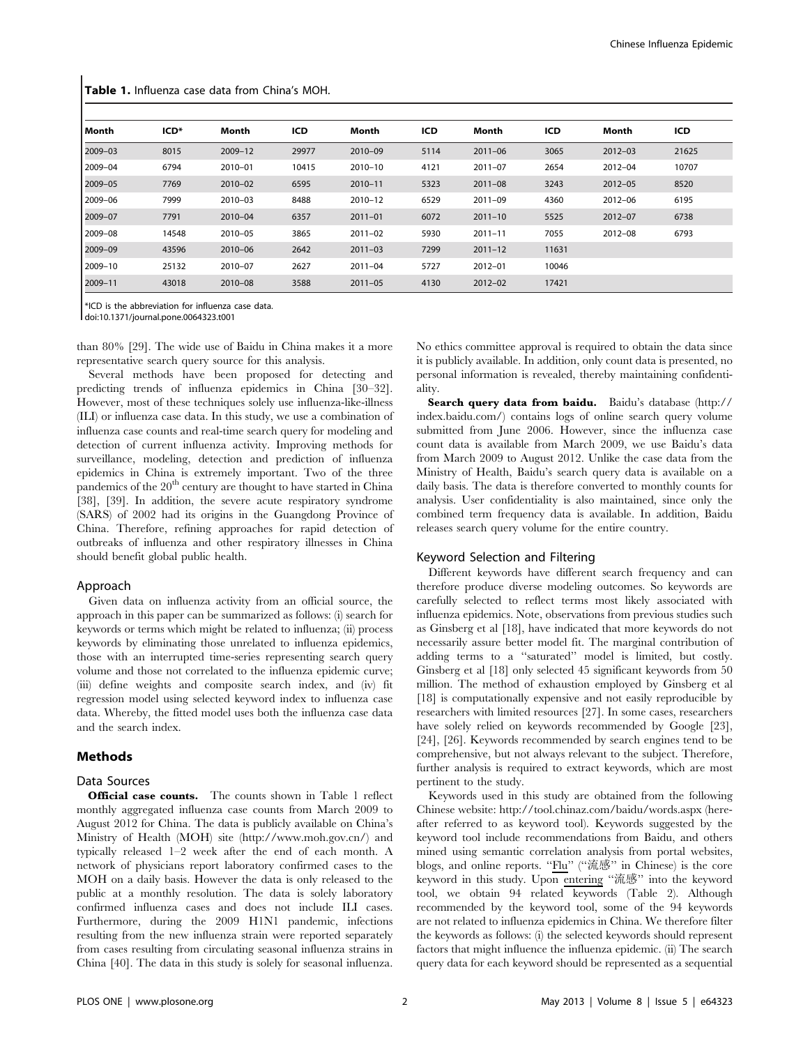| Month   | ICD <sup>*</sup> | Month   | ICD   | Month       | ICD  | Month       | ICD   | Month       | ICD   |
|---------|------------------|---------|-------|-------------|------|-------------|-------|-------------|-------|
| 2009-03 | 8015             | 2009-12 | 29977 | 2010-09     | 5114 | $2011 - 06$ | 3065  | $2012 - 03$ | 21625 |
| 2009-04 | 6794             | 2010-01 | 10415 | 2010-10     | 4121 | $2011 - 07$ | 2654  | $2012 - 04$ | 10707 |
| 2009-05 | 7769             | 2010-02 | 6595  | $2010 - 11$ | 5323 | $2011 - 08$ | 3243  | $2012 - 05$ | 8520  |
| 2009-06 | 7999             | 2010-03 | 8488  | 2010-12     | 6529 | $2011 - 09$ | 4360  | $2012 - 06$ | 6195  |
| 2009-07 | 7791             | 2010-04 | 6357  | $2011 - 01$ | 6072 | $2011 - 10$ | 5525  | $2012 - 07$ | 6738  |
| 2009-08 | 14548            | 2010-05 | 3865  | $2011 - 02$ | 5930 | $2011 - 11$ | 7055  | $2012 - 08$ | 6793  |
| 2009-09 | 43596            | 2010-06 | 2642  | $2011 - 03$ | 7299 | $2011 - 12$ | 11631 |             |       |
| 2009-10 | 25132            | 2010-07 | 2627  | $2011 - 04$ | 5727 | $2012 - 01$ | 10046 |             |       |
| 2009-11 | 43018            | 2010-08 | 3588  | $2011 - 05$ | 4130 | $2012 - 02$ | 17421 |             |       |

Table 1. Influenza case data from China's MOH.

\*ICD is the abbreviation for influenza case data.

doi:10.1371/journal.pone.0064323.t001

than 80% [29]. The wide use of Baidu in China makes it a more representative search query source for this analysis.

Several methods have been proposed for detecting and predicting trends of influenza epidemics in China [30–32]. However, most of these techniques solely use influenza-like-illness (ILI) or influenza case data. In this study, we use a combination of influenza case counts and real-time search query for modeling and detection of current influenza activity. Improving methods for surveillance, modeling, detection and prediction of influenza epidemics in China is extremely important. Two of the three pandemics of the 20<sup>th</sup> century are thought to have started in China [38], [39]. In addition, the severe acute respiratory syndrome (SARS) of 2002 had its origins in the Guangdong Province of China. Therefore, refining approaches for rapid detection of outbreaks of influenza and other respiratory illnesses in China should benefit global public health.

#### Approach

Given data on influenza activity from an official source, the approach in this paper can be summarized as follows: (i) search for keywords or terms which might be related to influenza; (ii) process keywords by eliminating those unrelated to influenza epidemics, those with an interrupted time-series representing search query volume and those not correlated to the influenza epidemic curve; (iii) define weights and composite search index, and (iv) fit regression model using selected keyword index to influenza case data. Whereby, the fitted model uses both the influenza case data and the search index.

#### **Methods**

#### Data Sources

**Official case counts.** The counts shown in Table 1 reflect monthly aggregated influenza case counts from March 2009 to August 2012 for China. The data is publicly available on China's Ministry of Health (MOH) site (http://www.moh.gov.cn/) and typically released  $1-2$  week after the end of each month. A network of physicians report laboratory confirmed cases to the MOH on a daily basis. However the data is only released to the public at a monthly resolution. The data is solely laboratory confirmed influenza cases and does not include ILI cases. Furthermore, during the 2009 H1N1 pandemic, infections resulting from the new influenza strain were reported separately from cases resulting from circulating seasonal influenza strains in China [40]. The data in this study is solely for seasonal influenza.

No ethics committee approval is required to obtain the data since it is publicly available. In addition, only count data is presented, no personal information is revealed, thereby maintaining confidentiality.

Search query data from baidu. Baidu's database (http:// index.baidu.com/) contains logs of online search query volume submitted from June 2006. However, since the influenza case count data is available from March 2009, we use Baidu's data from March 2009 to August 2012. Unlike the case data from the Ministry of Health, Baidu's search query data is available on a daily basis. The data is therefore converted to monthly counts for analysis. User confidentiality is also maintained, since only the combined term frequency data is available. In addition, Baidu releases search query volume for the entire country.

#### Keyword Selection and Filtering

Different keywords have different search frequency and can therefore produce diverse modeling outcomes. So keywords are carefully selected to reflect terms most likely associated with influenza epidemics. Note, observations from previous studies such as Ginsberg et al [18], have indicated that more keywords do not necessarily assure better model fit. The marginal contribution of adding terms to a "saturated" model is limited, but costly. Ginsberg et al [18] only selected 45 significant keywords from 50 million. The method of exhaustion employed by Ginsberg et al [18] is computationally expensive and not easily reproducible by researchers with limited resources [27]. In some cases, researchers have solely relied on keywords recommended by Google [23], [24], [26]. Keywords recommended by search engines tend to be comprehensive, but not always relevant to the subject. Therefore, further analysis is required to extract keywords, which are most pertinent to the study.

Keywords used in this study are obtained from the following Chinese website: http://tool.chinaz.com/baidu/words.aspx (hereafter referred to as keyword tool). Keywords suggested by the keyword tool include recommendations from Baidu, and others mined using semantic correlation analysis from portal websites, blogs, and online reports. "Flu" ("流感" in Chinese) is the core keyword in this study. Upon entering "流感" into the keyword tool, we obtain 94 related keywords (Table 2). Although recommended by the keyword tool, some of the 94 keywords are not related to influenza epidemics in China. We therefore filter the keywords as follows: (i) the selected keywords should represent factors that might influence the influenza epidemic. (ii) The search query data for each keyword should be represented as a sequential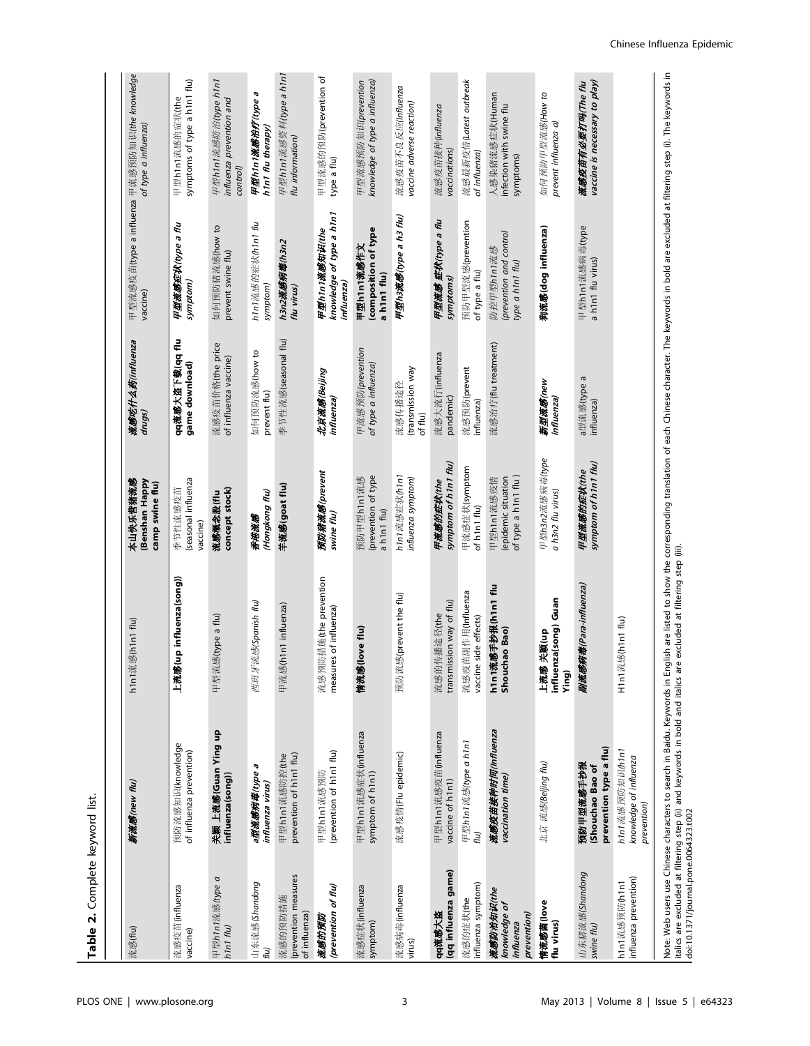Table 2. Complete keyword list.

|                                                        |                                                          |                                                 | (Benshan Happy<br>camp swine flu)                        | drugs)                                    | 甲型流感疫苗(type a influenza 甲流感预防知识(the knowledge<br>vaccine) | of type a influenza)                                         |
|--------------------------------------------------------|----------------------------------------------------------|-------------------------------------------------|----------------------------------------------------------|-------------------------------------------|-----------------------------------------------------------|--------------------------------------------------------------|
| 流感疫苗(influenza<br>vaccine)                             | 预防流感知识(knowledge<br>of influenza prevention)             | up influenza(song)}<br>上流感                      | (seasonal influenza<br>季节性流感疫苗<br>vaccine)               | qq流感大盗下载(qq flu<br>game download)         | 甲型流感症状(type a flu<br>symptom)                             | symptoms of type a h1n1 flu)<br>甲型h1n1流感的症状(the              |
| 甲型h1n1流感(type a<br>h1n1 flu)                           | 关颖 上流感(Guan Ying up<br>influenza(song)}                  | 甲型流感(type a flu)                                | concept stock)<br>流感概念股(flu                              | 流感疫苗价格(the price<br>of influenza vaccine) | 如何预防猪流感(how to<br>prevent swine flu)                      | 甲型h1n1流感防治(type h1n1<br>influenza prevention and<br>control) |
| 山东流感(Shandong<br>flu)                                  | G<br>a型流感病毒(type<br>influenza virus)                     | 西班牙流感(Spanish flu)                              | (Hongkong flu)<br>香港流感                                   | 如何预防流感(how to<br>prevent flu)             | h1n1流感的症状(h1n1 flu<br>symptom)                            | 甲型h1n1流感治疗(type a<br>hini flu therapy)                       |
| (prevention measures<br>流感的预防措施<br>of influenza)       | prevention of h1n1 flu)<br>甲型h1n1流感防控(the                | h1n1 influenza)<br>甲流感(                         | 羊流感(goat flu)                                            | 季节性流感(seasonal flu)                       | h3n2流感病毒(h3n2<br>flu virus)                               | 甲型h1n1流感资料(type a h1n1<br>flu information)                   |
| (prevention of flu)<br>流感的预防                           | (prevention of h1n1 flu)<br>甲型h1n1流感预防                   | 流感预防措施(the prevention<br>measures of influenza) | 预防猪流感(prevent<br>swine flu)                              | 北京流感(Beijing<br>influenza)                | knowledge of type a h1n1<br>甲型h1n1流感知识(the<br>influenza)  | 甲型流感的预防(prevention of<br>type a flu)                         |
| 流感症状(influenza<br>symptom)                             | 甲型h1n1流感症状(influenza<br>symptom of h1n1)                 | love flu)<br>情流感(                               | (prevention of type<br>预防甲型h1n1流感<br>a h1n1 flu)         | 甲流感预防(prevention<br>of type a influenza)  | (composition of type<br>甲型h1n1流感作文<br>a h1n1 flu)         | knowledge of type a influenza)<br>甲型流感预防知识(prevention        |
| 流感病毒(influenza<br>virus)                               | 流感疫情(Flu epidemic)                                       | 预防流感(prevent the flu)                           | h1n1流感症状(h1n1<br>influenza symptom)                      | (transmission way<br>流感传播途径<br>of flu)    | 甲型h3流感(type a h3 flu)                                     | 流感疫苗不良反应(Influenza<br>vaccine adverse reaction)              |
| (qq influenza game)<br>qq流感大盗                          | 甲型h1n1流感疫苗(influenza<br>vaccine of h1n1)                 | transmission way of flu)<br>流感的传播途径(the         | symptom of h1n1 flu)<br>甲流感的症状(the                       | 流感大流行(influenza<br>pandemic)              | 甲型流感 症状(type a flu<br>symptoms)                           | 流感疫苗接种(influenza<br>vaccinations)                            |
| influenza symptom)<br>流感的症状(the                        | 甲型h1n1流感(type a h1n1<br>flu)                             | 流感疫苗副作用(Influenza<br>vaccine side effects)      | 甲流感症状(symptom<br>of h1n1 flu)                            | 流感预防(prevent<br>influenza)                | 预防甲型流感(prevention<br>of type a flu)                       | 流感最新疫情(Latest outbreak<br>of influenza)                      |
| 流感防治知识(the<br>knowledge of<br>prevention)<br>influenza | 流感疫苗接种时间(Influenza<br>vaccination time)                  | h1n1流感手抄报(h1n1 flu<br>Shouchao Bao)             | of type a h1n1 flu)<br>(epidemic situation<br>甲型h1n1流感疫情 | 流感治疗(flu treatment)                       | (prevention and control<br>防控甲型h1n1流感<br>type a h1n1 flu) | 人感染猪流感症状(Human<br>infection with swine flu<br>symptoms)      |
| 情流感菌(love<br>flu virus)                                | 北京 流感(Beijing flu)                                       | influenza(song) Guan<br>关颖(up<br>上流感<br>Ying)   | 甲型h3n2流感病毒(type<br>a h3n2 flu virus)                     | 新型流感(new<br>influenza)                    | 狗流感(dog influenza)                                        | 如何预防甲型流感(How to<br>prevent influenza a)                      |
| 山东猪流感(Shandong<br>swine flu)                           | prevention type a flu)<br>预防甲型流感手抄报<br>(Shouchao Bao of  | 病毒(Para-influenza)<br>副流感                       | symptom of h1n1 flu)<br>甲型流感的症状(the                      | a型流感(type a<br>influenza)                 | 甲型h1n1流感病毒(type<br>a h1n1 flu virus)                      | vaccine is necessary to play)<br>流感疫苗有必要打吗(The flu           |
| influenza prevention)<br>h1n1流感预防(h1n1                 | h1n1流感预防知识(h1n1<br>knowledge of influenza<br>prevention) | 感(h1n1 flu)<br>H1n1流                            |                                                          |                                           |                                                           |                                                              |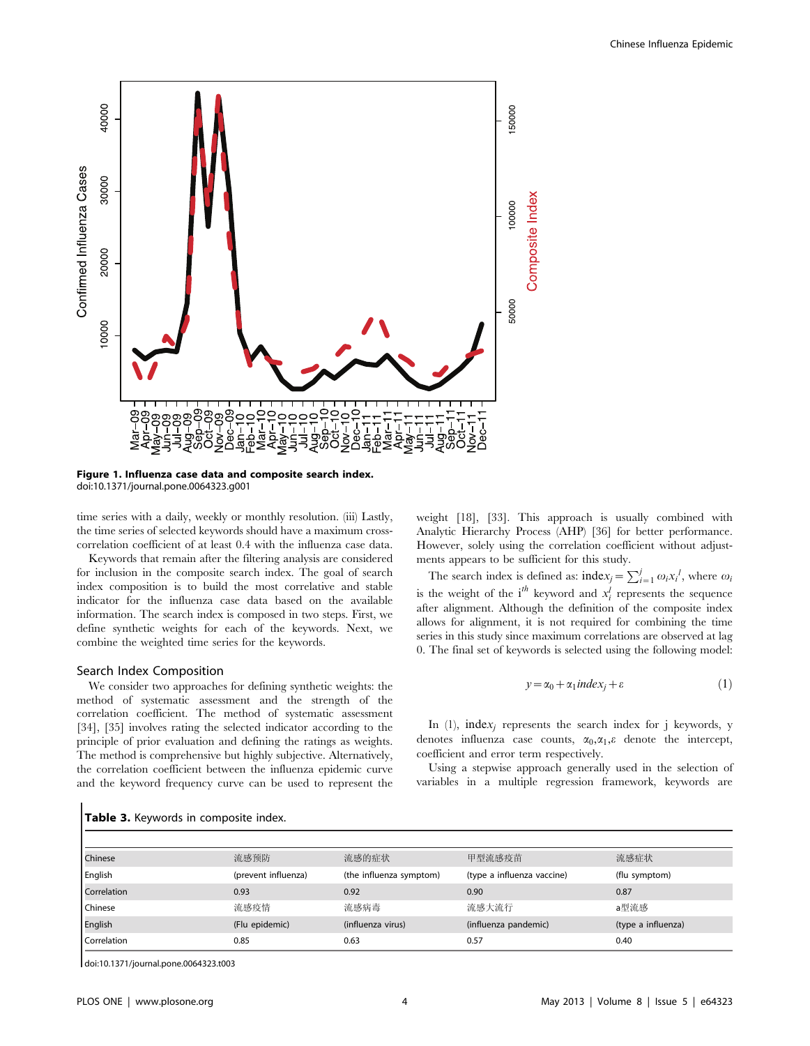

Figure 1. Influenza case data and composite search index. doi:10.1371/journal.pone.0064323.g001

time series with a daily, weekly or monthly resolution. (iii) Lastly, the time series of selected keywords should have a maximum crosscorrelation coefficient of at least 0.4 with the influenza case data.

Keywords that remain after the filtering analysis are considered for inclusion in the composite search index. The goal of search index composition is to build the most correlative and stable indicator for the influenza case data based on the available information. The search index is composed in two steps. First, we define synthetic weights for each of the keywords. Next, we combine the weighted time series for the keywords.

### Search Index Composition

We consider two approaches for defining synthetic weights: the method of systematic assessment and the strength of the correlation coefficient. The method of systematic assessment [34], [35] involves rating the selected indicator according to the principle of prior evaluation and defining the ratings as weights. The method is comprehensive but highly subjective. Alternatively, the correlation coefficient between the influenza epidemic curve and the keyword frequency curve can be used to represent the

weight [18], [33]. This approach is usually combined with Analytic Hierarchy Process (AHP) [36] for better performance. However, solely using the correlation coefficient without adjustments appears to be sufficient for this study.

The search index is defined as:  $index_j = \sum_{i=1}^{j} \omega_i x_i^j$ , where  $\omega_i$ is the weight of the  $i^{th}$  keyword and  $x_i^l$  represents the sequence after alignment. Although the definition of the composite index allows for alignment, it is not required for combining the time series in this study since maximum correlations are observed at lag 0. The final set of keywords is selected using the following model:

$$
y = \alpha_0 + \alpha_1 \text{index}_i + \varepsilon \tag{1}
$$

In (1), index<sub>i</sub> represents the search index for j keywords, y denotes influenza case counts,  $\alpha_0, \alpha_1, \varepsilon$  denote the intercept, coefficient and error term respectively.

Using a stepwise approach generally used in the selection of variables in a multiple regression framework, keywords are

| Chinese     | 流感预防                | 流感的症状                   | 甲型流感疫苗                     | 流感症状               |
|-------------|---------------------|-------------------------|----------------------------|--------------------|
| English     | (prevent influenza) | (the influenza symptom) | (type a influenza vaccine) | (flu symptom)      |
| Correlation | 0.93                | 0.92                    | 0.90                       | 0.87               |
| Chinese     | 流感疫情                | 流感病毒                    | 流感大流行                      | a型流感               |
| English     | (Flu epidemic)      | (influenza virus)       | (influenza pandemic)       | (type a influenza) |
| Correlation | 0.85                | 0.63                    | 0.57                       | 0.40               |

Table 3. Keywords in composite index.

doi:10.1371/journal.pone.0064323.t003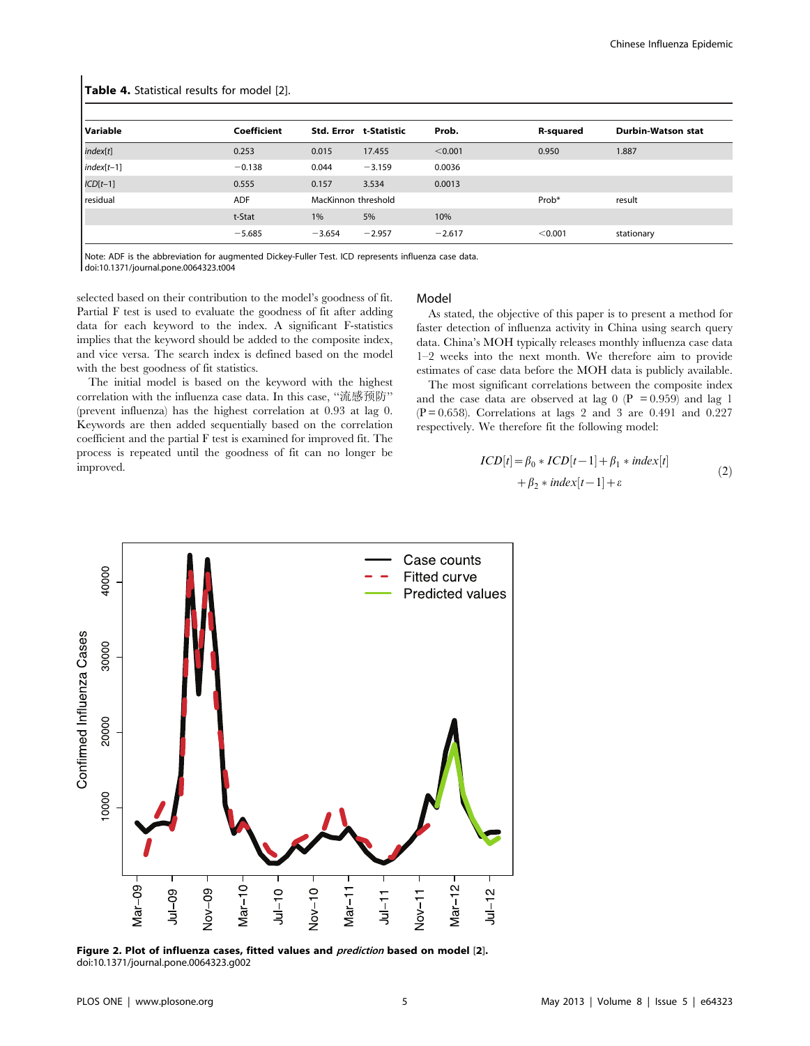| <b>Table 4.</b> Statistical results for model [2]. |             |          |                        |          |                  |                    |  |  |
|----------------------------------------------------|-------------|----------|------------------------|----------|------------------|--------------------|--|--|
| Variable                                           | Coefficient |          | Std. Error t-Statistic | Prob.    | <b>R-squared</b> | Durbin-Watson stat |  |  |
| index[t]                                           | 0.253       | 0.015    | 17.455                 | < 0.001  | 0.950            | 1.887              |  |  |
| $index[t-1]$                                       | $-0.138$    | 0.044    | $-3.159$               | 0.0036   |                  |                    |  |  |
| $ICD[t-1]$                                         | 0.555       | 0.157    | 3.534                  | 0.0013   |                  |                    |  |  |
| residual                                           | <b>ADF</b>  |          | MacKinnon threshold    |          | Prob*            | result             |  |  |
|                                                    | t-Stat      | 1%       | 5%                     | 10%      |                  |                    |  |  |
|                                                    | $-5.685$    | $-3.654$ | $-2.957$               | $-2.617$ | < 0.001          | stationary         |  |  |

Note: ADF is the abbreviation for augmented Dickey-Fuller Test. ICD represents influenza case data. doi:10.1371/journal.pone.0064323.t004

selected based on their contribution to the model's goodness of fit. Partial F test is used to evaluate the goodness of fit after adding data for each keyword to the index. A significant F-statistics implies that the keyword should be added to the composite index, and vice versa. The search index is defined based on the model with the best goodness of fit statistics.

The initial model is based on the keyword with the highest correlation with the influenza case data. In this case, "流感预防" (prevent influenza) has the highest correlation at 0.93 at lag 0. Keywords are then added sequentially based on the correlation coefficient and the partial F test is examined for improved fit. The process is repeated until the goodness of fit can no longer be improved.

#### Model

As stated, the objective of this paper is to present a method for faster detection of influenza activity in China using search query data. China's MOH typically releases monthly influenza case data  $1-2$  weeks into the next month. We therefore aim to provide estimates of case data before the MOH data is publicly available.

The most significant correlations between the composite index and the case data are observed at lag 0 (P = 0.959) and lag 1  $(P = 0.658)$ . Correlations at lags 2 and 3 are 0.491 and 0.227 respectively. We therefore fit the following model:

$$
ICD[t] = \beta_0 * ICD[t-1] + \beta_1 * index[t]
$$
  
+ 
$$
\beta_2 * index[t-1] + \varepsilon
$$
 (2)



Figure 2. Plot of influenza cases, fitted values and *prediction* based on model [2]. doi:10.1371/journal.pone.0064323.q002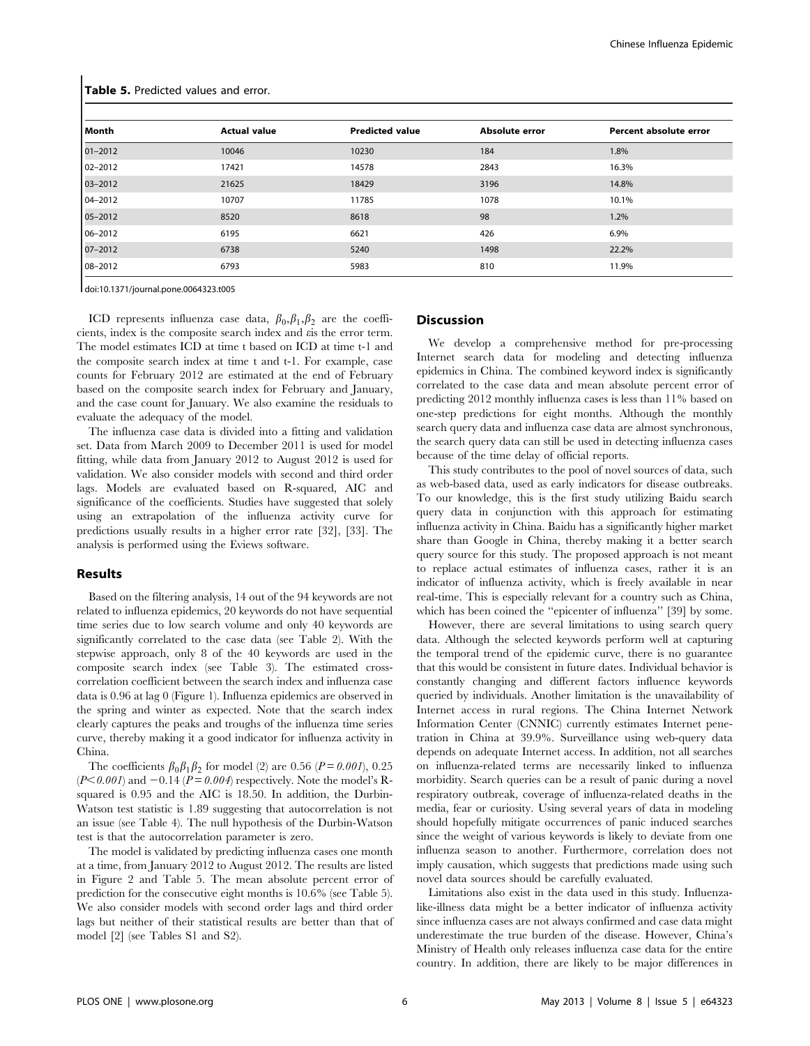| Month       | <b>Actual value</b> | <b>Predicted value</b> | <b>Absolute error</b> | Percent absolute error |
|-------------|---------------------|------------------------|-----------------------|------------------------|
| $01 - 2012$ | 10046               | 10230                  | 184                   | 1.8%                   |
| $02 - 2012$ | 17421               | 14578                  | 2843                  | 16.3%                  |
| 03-2012     | 21625               | 18429                  | 3196                  | 14.8%                  |
| $04 - 2012$ | 10707               | 11785                  | 1078                  | 10.1%                  |
| 05-2012     | 8520                | 8618                   | 98                    | 1.2%                   |
| 06-2012     | 6195                | 6621                   | 426                   | 6.9%                   |
| 07-2012     | 6738                | 5240                   | 1498                  | 22.2%                  |
| 08-2012     | 6793                | 5983                   | 810                   | 11.9%                  |

Table 5. Predicted values and error.

doi:10.1371/journal.pone.0064323.t005

ICD represents influenza case data,  $\beta_0$ ,  $\beta_1$ ,  $\beta_2$  are the coefficients, index is the composite search index and  $\epsilon$  is the error term. The model estimates ICD at time t based on ICD at time t-1 and the composite search index at time t and t-1. For example, case counts for February 2012 are estimated at the end of February based on the composite search index for February and January, and the case count for January. We also examine the residuals to evaluate the adequacy of the model.

The influenza case data is divided into a fitting and validation set. Data from March 2009 to December 2011 is used for model fitting, while data from January 2012 to August 2012 is used for validation. We also consider models with second and third order lags. Models are evaluated based on R-squared, AIC and significance of the coefficients. Studies have suggested that solely using an extrapolation of the influenza activity curve for predictions usually results in a higher error rate [32], [33]. The analysis is performed using the Eviews software.

#### **Results**

Based on the filtering analysis, 14 out of the 94 keywords are not related to influenza epidemics, 20 keywords do not have sequential time series due to low search volume and only 40 keywords are significantly correlated to the case data (see Table 2). With the stepwise approach, only 8 of the 40 keywords are used in the composite search index (see Table 3). The estimated crosscorrelation coefficient between the search index and influenza case data is 0.96 at lag 0 (Figure 1). Influenza epidemics are observed in the spring and winter as expected. Note that the search index clearly captures the peaks and troughs of the influenza time series curve, thereby making it a good indicator for influenza activity in China.

The coefficients  $\beta_0 \beta_1 \beta_2$  for model (2) are 0.56 (P = 0.001), 0.25  $(P<0.001)$  and  $-0.14$   $(P=0.004)$  respectively. Note the model's Rsquared is 0.95 and the AIC is 18.50. In addition, the Durbin-Watson test statistic is 1.89 suggesting that autocorrelation is not an issue (see Table 4). The null hypothesis of the Durbin-Watson test is that the autocorrelation parameter is zero.

The model is validated by predicting influenza cases one month at a time, from January 2012 to August 2012. The results are listed in Figure 2 and Table 5. The mean absolute percent error of prediction for the consecutive eight months is 10.6% (see Table 5). We also consider models with second order lags and third order lags but neither of their statistical results are better than that of model [2] (see Tables S1 and S2).

#### **Discussion**

We develop a comprehensive method for pre-processing Internet search data for modeling and detecting influenza epidemics in China. The combined keyword index is significantly correlated to the case data and mean absolute percent error of predicting 2012 monthly influenza cases is less than 11% based on one-step predictions for eight months. Although the monthly search query data and influenza case data are almost synchronous, the search query data can still be used in detecting influenza cases because of the time delay of official reports.

This study contributes to the pool of novel sources of data, such as web-based data, used as early indicators for disease outbreaks. To our knowledge, this is the first study utilizing Baidu search query data in conjunction with this approach for estimating influenza activity in China. Baidu has a significantly higher market share than Google in China, thereby making it a better search query source for this study. The proposed approach is not meant to replace actual estimates of influenza cases, rather it is an indicator of influenza activity, which is freely available in near real-time. This is especially relevant for a country such as China, which has been coined the "epicenter of influenza" [39] by some.

However, there are several limitations to using search query data. Although the selected keywords perform well at capturing the temporal trend of the epidemic curve, there is no guarantee that this would be consistent in future dates. Individual behavior is constantly changing and different factors influence keywords queried by individuals. Another limitation is the unavailability of Internet access in rural regions. The China Internet Network Information Center (CNNIC) currently estimates Internet penetration in China at 39.9%. Surveillance using web-query data depends on adequate Internet access. In addition, not all searches on influenza-related terms are necessarily linked to influenza morbidity. Search queries can be a result of panic during a novel respiratory outbreak, coverage of influenza-related deaths in the media, fear or curiosity. Using several years of data in modeling should hopefully mitigate occurrences of panic induced searches since the weight of various keywords is likely to deviate from one influenza season to another. Furthermore, correlation does not imply causation, which suggests that predictions made using such novel data sources should be carefully evaluated.

Limitations also exist in the data used in this study. Influenzalike-illness data might be a better indicator of influenza activity since influenza cases are not always confirmed and case data might underestimate the true burden of the disease. However, China's Ministry of Health only releases influenza case data for the entire country. In addition, there are likely to be major differences in